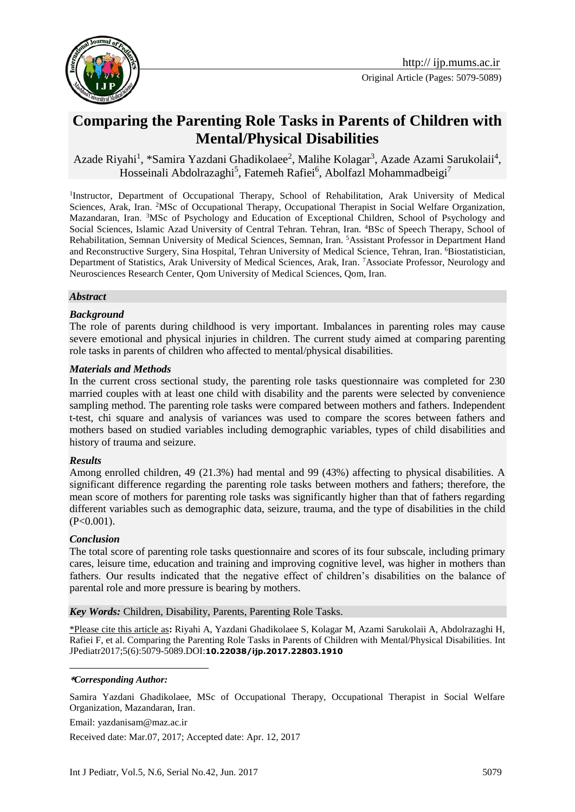

# **Comparing the Parenting Role Tasks in Parents of Children with Mental/Physical Disabilities**

Azade Riyahi<sup>1</sup>, \*Samira Yazdani Ghadikolaee<sup>2</sup>, Malihe Kolagar<sup>3</sup>, Azade Azami Sarukolaii<sup>4</sup>, Hosseinali Abdolrazaghi<sup>5</sup>, Fatemeh Rafiei<sup>6</sup>, Abolfazl Mohammadbeigi<sup>7</sup>

<sup>1</sup>Instructor, Department of Occupational Therapy, School of Rehabilitation, Arak University of Medical Sciences, Arak, Iran. <sup>2</sup>MSc of Occupational Therapy, Occupational Therapist in Social Welfare Organization, Mazandaran, Iran. <sup>3</sup>MSc of Psychology and Education of Exceptional Children, School of Psychology and Social Sciences, Islamic Azad University of Central Tehran. Tehran, Iran. <sup>4</sup>BSc of Speech Therapy, School of Rehabilitation, Semnan University of Medical Sciences, Semnan, Iran. <sup>5</sup>Assistant Professor in Department Hand and Reconstructive Surgery, Sina Hospital, Tehran University of Medical Science, Tehran, Iran. <sup>6</sup>Biostatistician, Department of Statistics, Arak University of Medical Sciences, Arak, Iran. <sup>7</sup>Associate Professor, Neurology and Neurosciences Research Center, Qom University of Medical Sciences, Qom, Iran.

#### *Abstract*

#### *Background*

The role of parents during childhood is very important. Imbalances in parenting roles may cause severe emotional and physical injuries in children. The current study aimed at comparing parenting role tasks in parents of children who affected to mental/physical disabilities.

#### *Materials and Methods*

In the current cross sectional study, the parenting role tasks questionnaire was completed for 230 married couples with at least one child with disability and the parents were selected by convenience sampling method. The parenting role tasks were compared between mothers and fathers. Independent t-test, chi square and analysis of variances was used to compare the scores between fathers and mothers based on studied variables including demographic variables, types of child disabilities and history of trauma and seizure.

#### *Results*

Among enrolled children, 49 (21.3%) had mental and 99 (43%) affecting to physical disabilities. A significant difference regarding the parenting role tasks between mothers and fathers; therefore, the mean score of mothers for parenting role tasks was significantly higher than that of fathers regarding different variables such as demographic data, seizure, trauma, and the type of disabilities in the child (P<0.001).

#### *Conclusion*

1

The total score of parenting role tasks questionnaire and scores of its four subscale, including primary cares, leisure time, education and training and improving cognitive level, was higher in mothers than fathers. Our results indicated that the negative effect of children's disabilities on the balance of parental role and more pressure is bearing by mothers.

*Key Words:* Children, Disability, Parents, Parenting Role Tasks.

\*Please cite this article as**:** Riyahi A, Yazdani Ghadikolaee S, Kolagar M, Azami Sarukolaii A, Abdolrazaghi H, Rafiei F, et al. Comparing the Parenting Role Tasks in Parents of Children with Mental/Physical Disabilities. Int JPediatr2017;5(6):5079-5089.DOI:**10.22038/ijp.2017.22803.1910**

#### **\****Corresponding Author:*

Samira Yazdani Ghadikolaee, MSc of Occupational Therapy, Occupational Therapist in Social Welfare Organization, Mazandaran, Iran.

Email: yazdanisam@maz.ac.ir

Received date: Mar.07, 2017; Accepted date: Apr. 12, 2017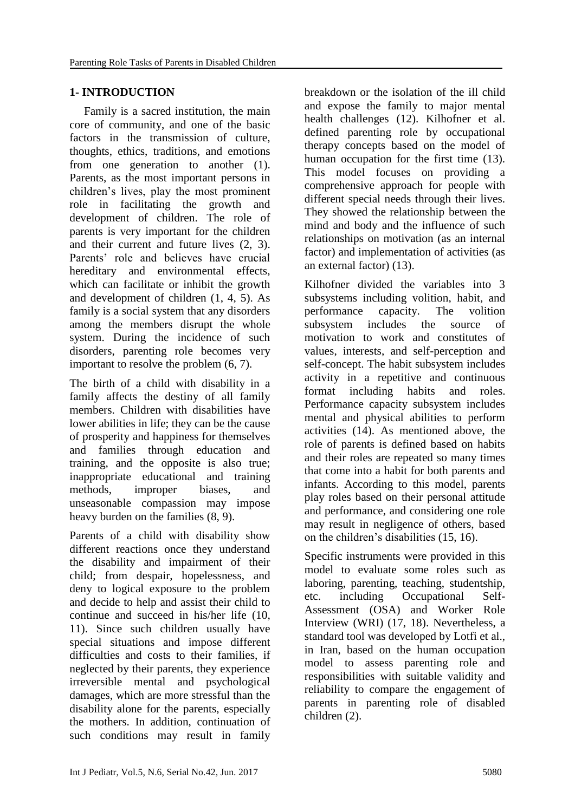# **1- INTRODUCTION**

 Family is a sacred institution, the main core of community, and one of the basic factors in the transmission of culture, thoughts, ethics, traditions, and emotions from one generation to another (1). Parents, as the most important persons in children's lives, play the most prominent role in facilitating the growth and development of children. The role of parents is very important for the children and their current and future lives (2, 3). Parents' role and believes have crucial hereditary and environmental effects, which can facilitate or inhibit the growth and development of children (1, 4, 5). As family is a social system that any disorders among the members disrupt the whole system. During the incidence of such disorders, parenting role becomes very important to resolve the problem (6, 7).

The birth of a child with disability in a family affects the destiny of all family members. Children with disabilities have lower abilities in life; they can be the cause of prosperity and happiness for themselves and families through education and training, and the opposite is also true; inappropriate educational and training methods, improper biases, and unseasonable compassion may impose heavy burden on the families (8, 9).

Parents of a child with disability show different reactions once they understand the disability and impairment of their child; from despair, hopelessness, and deny to logical exposure to the problem and decide to help and assist their child to continue and succeed in his/her life (10, 11). Since such children usually have special situations and impose different difficulties and costs to their families, if neglected by their parents, they experience irreversible mental and psychological damages, which are more stressful than the disability alone for the parents, especially the mothers. In addition, continuation of such conditions may result in family

breakdown or the isolation of the ill child and expose the family to major mental health challenges (12). Kilhofner et al. defined parenting role by occupational therapy concepts based on the model of human occupation for the first time (13). This model focuses on providing a comprehensive approach for people with different special needs through their lives. They showed the relationship between the mind and body and the influence of such relationships on motivation (as an internal factor) and implementation of activities (as an external factor) (13).

Kilhofner divided the variables into 3 subsystems including volition, habit, and performance capacity. The volition subsystem includes the source of motivation to work and constitutes of values, interests, and self-perception and self-concept. The habit subsystem includes activity in a repetitive and continuous format including habits and roles. Performance capacity subsystem includes mental and physical abilities to perform activities (14). As mentioned above, the role of parents is defined based on habits and their roles are repeated so many times that come into a habit for both parents and infants. According to this model, parents play roles based on their personal attitude and performance, and considering one role may result in negligence of others, based on the children's disabilities (15, 16).

Specific instruments were provided in this model to evaluate some roles such as laboring, parenting, teaching, studentship, etc. including Occupational Self-Assessment (OSA) and Worker Role Interview (WRI) (17, 18). Nevertheless, a standard tool was developed by Lotfi et al., in Iran, based on the human occupation model to assess parenting role and responsibilities with suitable validity and reliability to compare the engagement of parents in parenting role of disabled children (2).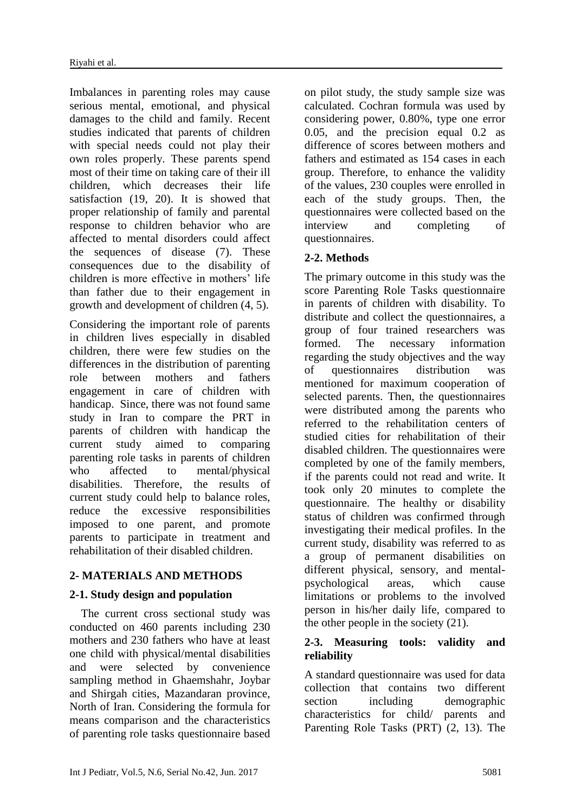Imbalances in parenting roles may cause serious mental, emotional, and physical damages to the child and family. Recent studies indicated that parents of children with special needs could not play their own roles properly. These parents spend most of their time on taking care of their ill children, which decreases their life satisfaction (19, 20). It is showed that proper relationship of family and parental response to children behavior who are affected to mental disorders could affect the sequences of disease (7). These consequences due to the disability of children is more effective in mothers' life than father due to their engagement in growth and development of children (4, 5).

Considering the important role of parents in children lives especially in disabled children, there were few studies on the differences in the distribution of parenting role between mothers and fathers engagement in care of children with handicap. Since, there was not found same study in Iran to compare the PRT in parents of children with handicap the current study aimed to comparing parenting role tasks in parents of children who affected to mental/physical disabilities. Therefore, the results of current study could help to balance roles, reduce the excessive responsibilities imposed to one parent, and promote parents to participate in treatment and rehabilitation of their disabled children.

# **2- MATERIALS AND METHODS**

## **2-1. Study design and population**

 The current cross sectional study was conducted on 460 parents including 230 mothers and 230 fathers who have at least one child with physical/mental disabilities and were selected by convenience sampling method in Ghaemshahr, Joybar and Shirgah cities, Mazandaran province, North of Iran. Considering the formula for means comparison and the characteristics of parenting role tasks questionnaire based on pilot study, the study sample size was calculated. Cochran formula was used by considering power, 0.80%, type one error 0.05, and the precision equal 0.2 as difference of scores between mothers and fathers and estimated as 154 cases in each group. Therefore, to enhance the validity of the values, 230 couples were enrolled in each of the study groups. Then, the questionnaires were collected based on the interview and completing of questionnaires.

# **2-2. Methods**

The primary outcome in this study was the score Parenting Role Tasks questionnaire in parents of children with disability. To distribute and collect the questionnaires, a group of four trained researchers was formed. The necessary information regarding the study objectives and the way of questionnaires distribution was mentioned for maximum cooperation of selected parents. Then, the questionnaires were distributed among the parents who referred to the rehabilitation centers of studied cities for rehabilitation of their disabled children. The questionnaires were completed by one of the family members, if the parents could not read and write. It took only 20 minutes to complete the questionnaire. The healthy or disability status of children was confirmed through investigating their medical profiles. In the current study, disability was referred to as a group of permanent disabilities on different physical, sensory, and mentalpsychological areas, which cause limitations or problems to the involved person in his/her daily life, compared to the other people in the society (21).

#### **2-3. Measuring tools: validity and reliability**

A standard questionnaire was used for data collection that contains two different section including demographic characteristics for child/ parents and Parenting Role Tasks (PRT) (2, 13). The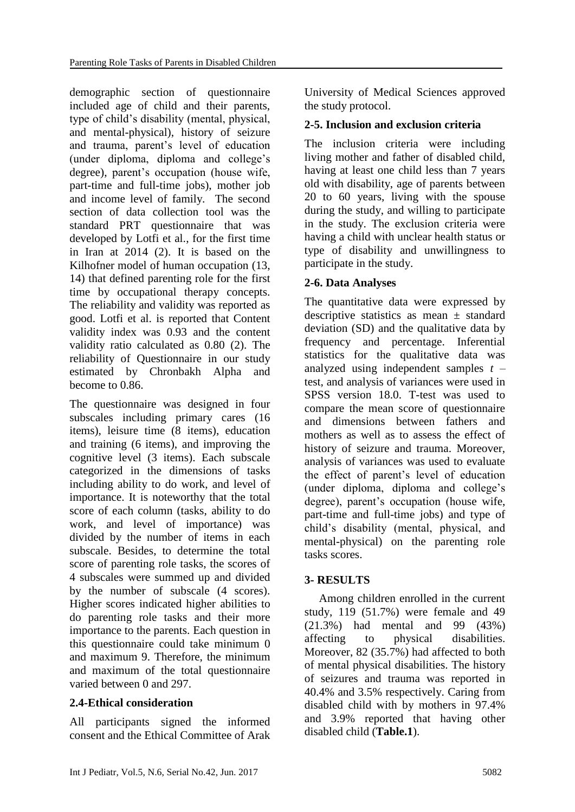demographic section of questionnaire included age of child and their parents, type of child's disability (mental, physical, and mental-physical), history of seizure and trauma, parent's level of education (under diploma, diploma and college's degree), parent's occupation (house wife, part-time and full-time jobs), mother job and income level of family. The second section of data collection tool was the standard PRT questionnaire that was developed by Lotfi et al., for the first time in Iran at 2014 (2). It is based on the Kilhofner model of human occupation (13, 14) that defined parenting role for the first time by occupational therapy concepts. The reliability and validity was reported as good. Lotfi et al. is reported that Content validity index was 0.93 and the content validity ratio calculated as 0.80 (2). The reliability of Questionnaire in our study estimated by Chronbakh Alpha and become to 0.86.

The questionnaire was designed in four subscales including primary cares (16 items), leisure time (8 items), education and training (6 items), and improving the cognitive level (3 items). Each subscale categorized in the dimensions of tasks including ability to do work, and level of importance. It is noteworthy that the total score of each column (tasks, ability to do work, and level of importance) was divided by the number of items in each subscale. Besides, to determine the total score of parenting role tasks, the scores of 4 subscales were summed up and divided by the number of subscale (4 scores). Higher scores indicated higher abilities to do parenting role tasks and their more importance to the parents. Each question in this questionnaire could take minimum 0 and maximum 9. Therefore, the minimum and maximum of the total questionnaire varied between 0 and 297.

## **2.4-Ethical consideration**

All participants signed the informed consent and the Ethical Committee of Arak

University of Medical Sciences approved the study protocol.

# **2-5. Inclusion and exclusion criteria**

The inclusion criteria were including living mother and father of disabled child, having at least one child less than 7 years old with disability, age of parents between 20 to 60 years, living with the spouse during the study, and willing to participate in the study. The exclusion criteria were having a child with unclear health status or type of disability and unwillingness to participate in the study.

## **2-6. Data Analyses**

The quantitative data were expressed by descriptive statistics as mean  $\pm$  standard deviation (SD) and the qualitative data by frequency and percentage. Inferential statistics for the qualitative data was analyzed using independent samples *t* – test, and analysis of variances were used in SPSS version 18.0. T-test was used to compare the mean score of questionnaire and dimensions between fathers and mothers as well as to assess the effect of history of seizure and trauma. Moreover, analysis of variances was used to evaluate the effect of parent's level of education (under diploma, diploma and college's degree), parent's occupation (house wife, part-time and full-time jobs) and type of child's disability (mental, physical, and mental-physical) on the parenting role tasks scores.

## **3- RESULTS**

 Among children enrolled in the current study, 119 (51.7%) were female and 49 (21.3%) had mental and 99 (43%) affecting to physical disabilities. Moreover, 82 (35.7%) had affected to both of mental physical disabilities. The history of seizures and trauma was reported in 40.4% and 3.5% respectively. Caring from disabled child with by mothers in 97.4% and 3.9% reported that having other disabled child (**Table.1**).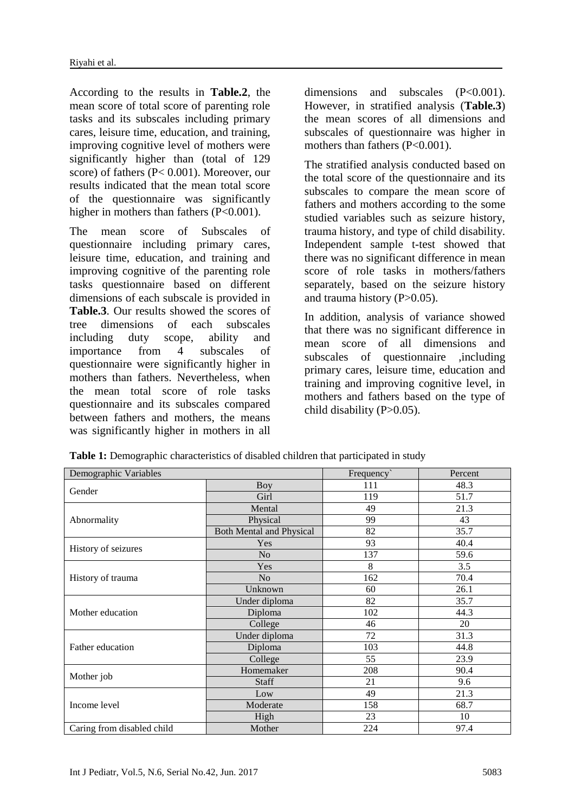According to the results in **Table.2**, the mean score of total score of parenting role tasks and its subscales including primary cares, leisure time, education, and training, improving cognitive level of mothers were significantly higher than (total of 129 score) of fathers (P< 0.001). Moreover, our results indicated that the mean total score of the questionnaire was significantly higher in mothers than fathers (P<0.001).

The mean score of Subscales of questionnaire including primary cares, leisure time, education, and training and improving cognitive of the parenting role tasks questionnaire based on different dimensions of each subscale is provided in **Table.3**. Our results showed the scores of tree dimensions of each subscales including duty scope, ability and importance from 4 subscales of questionnaire were significantly higher in mothers than fathers. Nevertheless, when the mean total score of role tasks questionnaire and its subscales compared between fathers and mothers, the means was significantly higher in mothers in all dimensions and subscales (P<0.001). However, in stratified analysis (**Table.3**) the mean scores of all dimensions and subscales of questionnaire was higher in mothers than fathers (P<0.001).

The stratified analysis conducted based on the total score of the questionnaire and its subscales to compare the mean score of fathers and mothers according to the some studied variables such as seizure history, trauma history, and type of child disability. Independent sample t-test showed that there was no significant difference in mean score of role tasks in mothers/fathers separately, based on the seizure history and trauma history (P>0.05).

In addition, analysis of variance showed that there was no significant difference in mean score of all dimensions and subscales of questionnaire ,including primary cares, leisure time, education and training and improving cognitive level, in mothers and fathers based on the type of child disability (P>0.05).

| Demographic Variables      |                                 | Frequency | Percent |  |
|----------------------------|---------------------------------|-----------|---------|--|
| Gender                     | <b>Boy</b>                      | 111       | 48.3    |  |
|                            | Girl                            | 119       | 51.7    |  |
| Abnormality                | Mental                          | 49        | 21.3    |  |
|                            | Physical                        | 99        | 43      |  |
|                            | <b>Both Mental and Physical</b> | 82        | 35.7    |  |
| History of seizures        | Yes                             | 93        | 40.4    |  |
|                            | N <sub>o</sub>                  | 137       | 59.6    |  |
|                            | Yes                             | 8         | 3.5     |  |
| History of trauma          | N <sub>o</sub>                  | 162       | 70.4    |  |
|                            | Unknown                         | 60        | 26.1    |  |
| Mother education           | Under diploma                   | 82        | 35.7    |  |
|                            | Diploma                         | 102       | 44.3    |  |
|                            | College                         | 46        | 20      |  |
| Father education           | Under diploma                   | 72        | 31.3    |  |
|                            | Diploma                         | 103       | 44.8    |  |
|                            | College                         | 55        | 23.9    |  |
| Mother job                 | Homemaker                       | 208       | 90.4    |  |
|                            | <b>Staff</b>                    | 21        | 9.6     |  |
| Income level               | Low                             | 49        | 21.3    |  |
|                            | Moderate                        | 158       | 68.7    |  |
|                            | High                            | 23        | 10      |  |
| Caring from disabled child | Mother                          | 224       | 97.4    |  |

**Table 1:** Demographic characteristics of disabled children that participated in study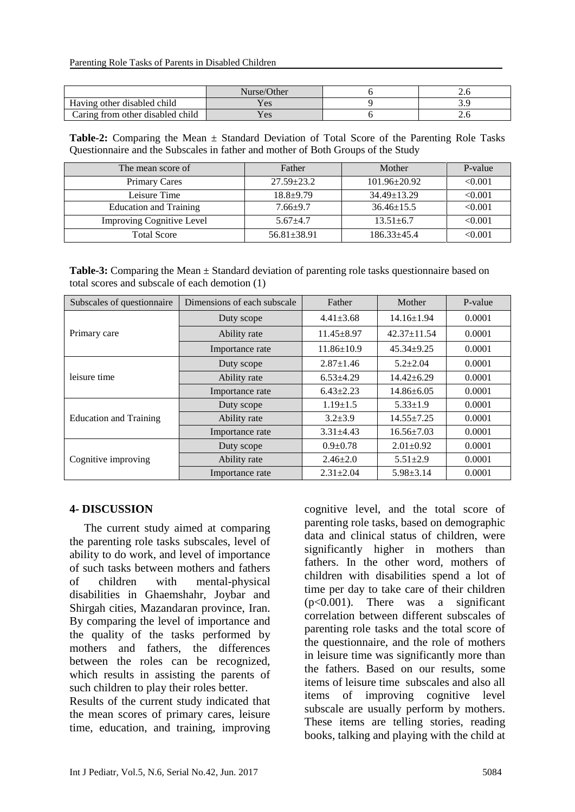|                                  | Nurse/Other | ∠.  |
|----------------------------------|-------------|-----|
| Having other disabled child      | es (        |     |
| Caring from other disabled child | es (        | ∠.∪ |

**Table-2:** Comparing the Mean ± Standard Deviation of Total Score of the Parenting Role Tasks Questionnaire and the Subscales in father and mother of Both Groups of the Study

| The mean score of                | Father                             | Mother             | P-value |
|----------------------------------|------------------------------------|--------------------|---------|
| <b>Primary Cares</b>             | $27.59 \pm 23.2$                   | $101.96 \pm 20.92$ | < 0.001 |
| Leisure Time                     | $18.8 + 9.79$<br>$34.49 \pm 13.29$ |                    | < 0.001 |
| <b>Education and Training</b>    | $7.66 + 9.7$                       | $36.46 \pm 15.5$   | < 0.001 |
| <b>Improving Cognitive Level</b> | $5.67 + 4.7$                       | $13.51 \pm 6.7$    | < 0.001 |
| <b>Total Score</b>               | $56.81 \pm 38.91$                  | $186.33 + 45.4$    | < 0.001 |

**Table-3:** Comparing the Mean ± Standard deviation of parenting role tasks questionnaire based on total scores and subscale of each demotion (1)

| Subscales of questionnaire    | Dimensions of each subscale | Father           | Mother            | P-value |
|-------------------------------|-----------------------------|------------------|-------------------|---------|
| Primary care                  | Duty scope                  | $4.41 \pm 3.68$  | $14.16 \pm 1.94$  | 0.0001  |
|                               | Ability rate                | $11.45 + 8.97$   | $42.37 \pm 11.54$ | 0.0001  |
|                               | Importance rate             | $11.86 \pm 10.9$ | $45.34 + 9.25$    | 0.0001  |
| leisure time                  | Duty scope                  | $2.87 \pm 1.46$  | $5.2 + 2.04$      | 0.0001  |
|                               | Ability rate                | $6.53{\pm}4.29$  | $14.42 + 6.29$    | 0.0001  |
|                               | Importance rate             | $6.43 \pm 2.23$  | $14.86 \pm 6.05$  | 0.0001  |
| <b>Education and Training</b> | Duty scope                  | $1.19 \pm 1.5$   | $5.33 \pm 1.9$    | 0.0001  |
|                               | Ability rate                | $3.2 \pm 3.9$    | $14.55 \pm 7.25$  | 0.0001  |
|                               | Importance rate             | $3.31 \pm 4.43$  | $16.56 \pm 7.03$  | 0.0001  |
| Cognitive improving           | Duty scope                  | $0.9 \pm 0.78$   | $2.01 \pm 0.92$   | 0.0001  |
|                               | Ability rate                | $2.46 \pm 2.0$   | $5.51 \pm 2.9$    | 0.0001  |
|                               | Importance rate             | $2.31 + 2.04$    | $5.98 \pm 3.14$   | 0.0001  |

#### **4- DISCUSSION**

 The current study aimed at comparing the parenting role tasks subscales, level of ability to do work, and level of importance of such tasks between mothers and fathers of children with mental-physical disabilities in Ghaemshahr, Joybar and Shirgah cities, Mazandaran province, Iran. By comparing the level of importance and the quality of the tasks performed by mothers and fathers, the differences between the roles can be recognized, which results in assisting the parents of such children to play their roles better.

Results of the current study indicated that the mean scores of primary cares, leisure time, education, and training, improving cognitive level, and the total score of parenting role tasks, based on demographic data and clinical status of children, were significantly higher in mothers than fathers. In the other word, mothers of children with disabilities spend a lot of time per day to take care of their children (p<0.001). There was a significant correlation between different subscales of parenting role tasks and the total score of the questionnaire, and the role of mothers in leisure time was significantly more than the fathers. Based on our results, some items of leisure time subscales and also all items of improving cognitive level subscale are usually perform by mothers. These items are telling stories, reading books, talking and playing with the child at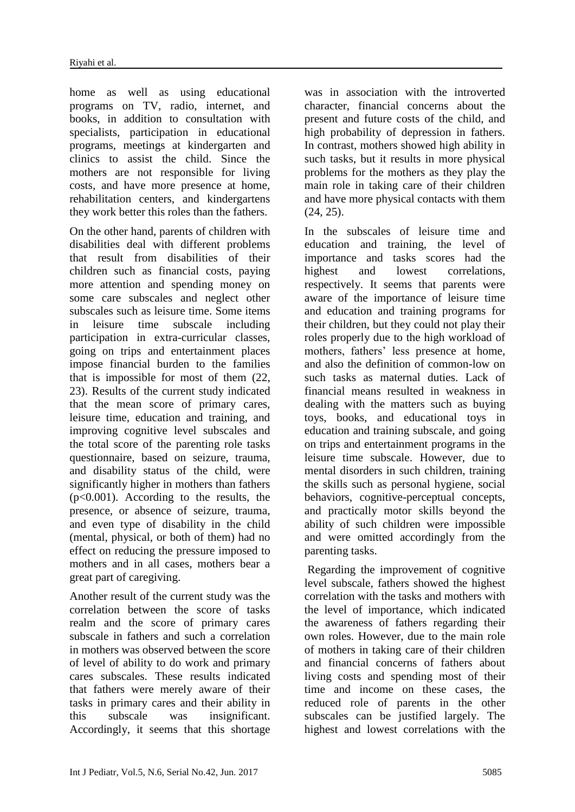home as well as using educational programs on TV, radio, internet, and books, in addition to consultation with specialists, participation in educational programs, meetings at kindergarten and clinics to assist the child. Since the mothers are not responsible for living costs, and have more presence at home, rehabilitation centers, and kindergartens they work better this roles than the fathers.

On the other hand, parents of children with disabilities deal with different problems that result from disabilities of their children such as financial costs, paying more attention and spending money on some care subscales and neglect other subscales such as leisure time. Some items in leisure time subscale including participation in extra-curricular classes, going on trips and entertainment places impose financial burden to the families that is impossible for most of them (22, 23). Results of the current study indicated that the mean score of primary cares, leisure time, education and training, and improving cognitive level subscales and the total score of the parenting role tasks questionnaire, based on seizure, trauma, and disability status of the child, were significantly higher in mothers than fathers (p<0.001). According to the results, the presence, or absence of seizure, trauma, and even type of disability in the child (mental, physical, or both of them) had no effect on reducing the pressure imposed to mothers and in all cases, mothers bear a great part of caregiving.

Another result of the current study was the correlation between the score of tasks realm and the score of primary cares subscale in fathers and such a correlation in mothers was observed between the score of level of ability to do work and primary cares subscales. These results indicated that fathers were merely aware of their tasks in primary cares and their ability in this subscale was insignificant. Accordingly, it seems that this shortage was in association with the introverted character, financial concerns about the present and future costs of the child, and high probability of depression in fathers. In contrast, mothers showed high ability in such tasks, but it results in more physical problems for the mothers as they play the main role in taking care of their children and have more physical contacts with them (24, 25).

In the subscales of leisure time and education and training, the level of importance and tasks scores had the highest and lowest correlations, respectively. It seems that parents were aware of the importance of leisure time and education and training programs for their children, but they could not play their roles properly due to the high workload of mothers, fathers' less presence at home, and also the definition of common-low on such tasks as maternal duties. Lack of financial means resulted in weakness in dealing with the matters such as buying toys, books, and educational toys in education and training subscale, and going on trips and entertainment programs in the leisure time subscale. However, due to mental disorders in such children, training the skills such as personal hygiene, social behaviors, cognitive-perceptual concepts, and practically motor skills beyond the ability of such children were impossible and were omitted accordingly from the parenting tasks.

Regarding the improvement of cognitive level subscale, fathers showed the highest correlation with the tasks and mothers with the level of importance, which indicated the awareness of fathers regarding their own roles. However, due to the main role of mothers in taking care of their children and financial concerns of fathers about living costs and spending most of their time and income on these cases, the reduced role of parents in the other subscales can be justified largely. The highest and lowest correlations with the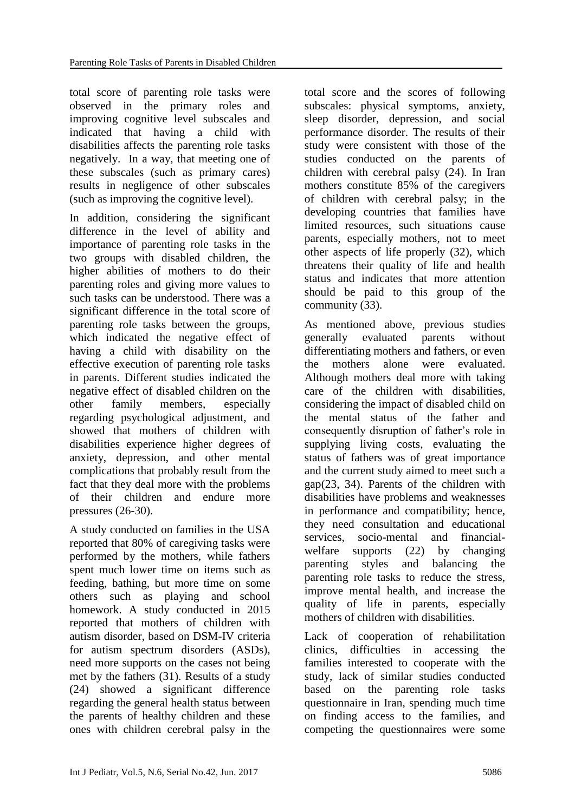total score of parenting role tasks were observed in the primary roles and improving cognitive level subscales and indicated that having a child with disabilities affects the parenting role tasks negatively. In a way, that meeting one of these subscales (such as primary cares) results in negligence of other subscales (such as improving the cognitive level).

In addition, considering the significant difference in the level of ability and importance of parenting role tasks in the two groups with disabled children, the higher abilities of mothers to do their parenting roles and giving more values to such tasks can be understood. There was a significant difference in the total score of parenting role tasks between the groups, which indicated the negative effect of having a child with disability on the effective execution of parenting role tasks in parents. Different studies indicated the negative effect of disabled children on the other family members, especially regarding psychological adjustment, and showed that mothers of children with disabilities experience higher degrees of anxiety, depression, and other mental complications that probably result from the fact that they deal more with the problems of their children and endure more pressures (26-30).

A study conducted on families in the USA reported that 80% of caregiving tasks were performed by the mothers, while fathers spent much lower time on items such as feeding, bathing, but more time on some others such as playing and school homework. A study conducted in 2015 reported that mothers of children with autism disorder, based on DSM-IV criteria for autism spectrum disorders (ASDs), need more supports on the cases not being met by the fathers (31). Results of a study (24) showed a significant difference regarding the general health status between the parents of healthy children and these ones with children cerebral palsy in the

total score and the scores of following subscales: physical symptoms, anxiety, sleep disorder, depression, and social performance disorder. The results of their study were consistent with those of the studies conducted on the parents of children with cerebral palsy (24). In Iran mothers constitute 85% of the caregivers of children with cerebral palsy; in the developing countries that families have limited resources, such situations cause parents, especially mothers, not to meet other aspects of life properly (32), which threatens their quality of life and health status and indicates that more attention should be paid to this group of the community (33).

As mentioned above, previous studies generally evaluated parents without differentiating mothers and fathers, or even the mothers alone were evaluated. Although mothers deal more with taking care of the children with disabilities, considering the impact of disabled child on the mental status of the father and consequently disruption of father's role in supplying living costs, evaluating the status of fathers was of great importance and the current study aimed to meet such a gap(23, 34). Parents of the children with disabilities have problems and weaknesses in performance and compatibility; hence, they need consultation and educational services, socio-mental and financialwelfare supports (22) by changing parenting styles and balancing the parenting role tasks to reduce the stress, improve mental health, and increase the quality of life in parents, especially mothers of children with disabilities.

Lack of cooperation of rehabilitation clinics, difficulties in accessing the families interested to cooperate with the study, lack of similar studies conducted based on the parenting role tasks questionnaire in Iran, spending much time on finding access to the families, and competing the questionnaires were some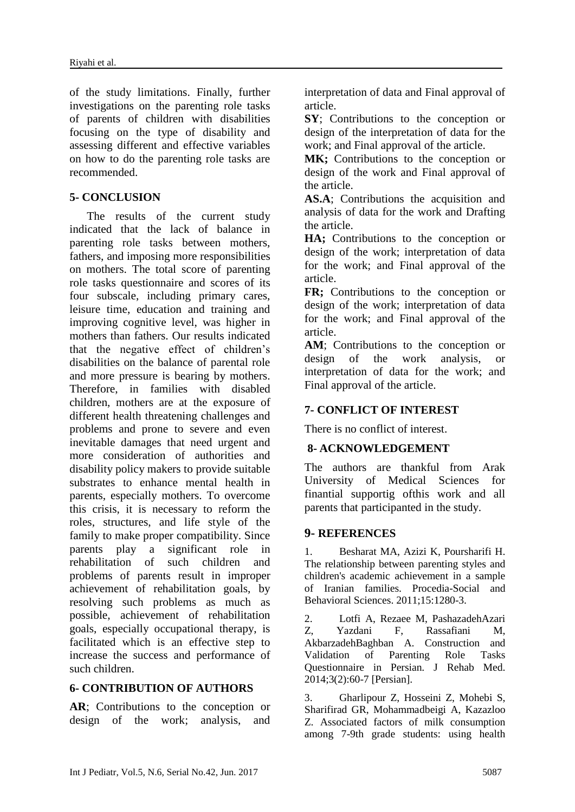of the study limitations. Finally, further investigations on the parenting role tasks of parents of children with disabilities focusing on the type of disability and assessing different and effective variables on how to do the parenting role tasks are recommended.

## **5- CONCLUSION**

 The results of the current study indicated that the lack of balance in parenting role tasks between mothers, fathers, and imposing more responsibilities on mothers. The total score of parenting role tasks questionnaire and scores of its four subscale, including primary cares, leisure time, education and training and improving cognitive level, was higher in mothers than fathers. Our results indicated that the negative effect of children's disabilities on the balance of parental role and more pressure is bearing by mothers. Therefore, in families with disabled children, mothers are at the exposure of different health threatening challenges and problems and prone to severe and even inevitable damages that need urgent and more consideration of authorities and disability policy makers to provide suitable substrates to enhance mental health in parents, especially mothers. To overcome this crisis, it is necessary to reform the roles, structures, and life style of the family to make proper compatibility. Since parents play a significant role in rehabilitation of such children and problems of parents result in improper achievement of rehabilitation goals, by resolving such problems as much as possible, achievement of rehabilitation goals, especially occupational therapy, is facilitated which is an effective step to increase the success and performance of such children.

## **6- CONTRIBUTION OF AUTHORS**

**AR**; Contributions to the conception or design of the work; analysis, and interpretation of data and Final approval of article.

**SY**; Contributions to the conception or design of the interpretation of data for the work; and Final approval of the article.

MK; Contributions to the conception or design of the work and Final approval of the article.

**AS.A**; Contributions the acquisition and analysis of data for the work and Drafting the article.

**HA;** Contributions to the conception or design of the work; interpretation of data for the work; and Final approval of the article.

**FR;** Contributions to the conception or design of the work; interpretation of data for the work; and Final approval of the article.

**AM**; Contributions to the conception or design of the work analysis, or interpretation of data for the work; and Final approval of the article.

## **7- CONFLICT OF INTEREST**

There is no conflict of interest.

## **8- ACKNOWLEDGEMENT**

The authors are thankful from Arak University of Medical Sciences for finantial supportig ofthis work and all parents that participanted in the study.

## **9- REFERENCES**

1. Besharat MA, Azizi K, Poursharifi H. The relationship between parenting styles and children's academic achievement in a sample of Iranian families. Procedia-Social and Behavioral Sciences. 2011;15:1280-3.

2. Lotfi A, Rezaee M, PashazadehAzari Z, Yazdani F, Rassafiani M, AkbarzadehBaghban A. Construction and Validation of Parenting Role Tasks Questionnaire in Persian. J Rehab Med. 2014;3(2):60-7 [Persian].

3. Gharlipour Z, Hosseini Z, Mohebi S, Sharifirad GR, Mohammadbeigi A, Kazazloo Z. Associated factors of milk consumption among 7-9th grade students: using health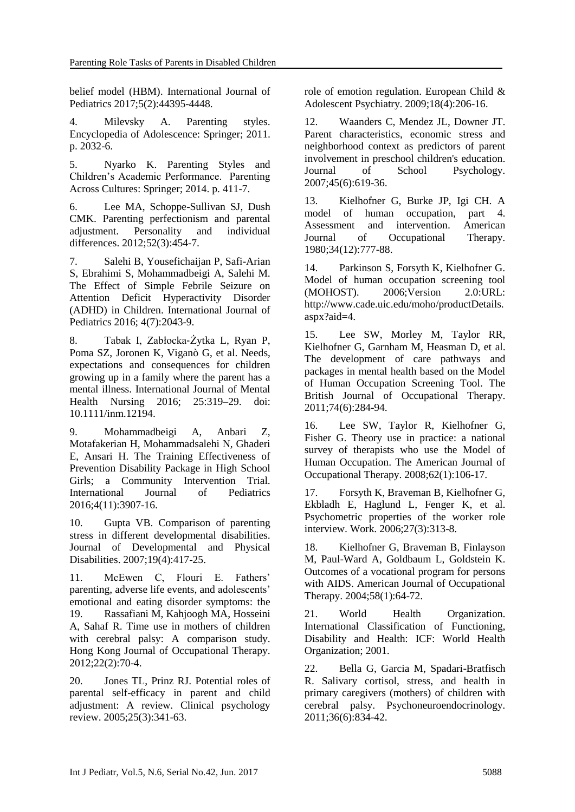belief model (HBM). International Journal of Pediatrics 2017;5(2):44395-4448.

4. Milevsky A. Parenting styles. Encyclopedia of Adolescence: Springer; 2011. p. 2032-6.

5. Nyarko K. Parenting Styles and Children's Academic Performance. Parenting Across Cultures: Springer; 2014. p. 411-7.

6. Lee MA, Schoppe-Sullivan SJ, Dush CMK. Parenting perfectionism and parental adjustment. Personality and individual differences. 2012;52(3):454-7.

7. Salehi B, Yousefichaijan P, Safi-Arian S, Ebrahimi S, Mohammadbeigi A, Salehi M. The Effect of Simple Febrile Seizure on Attention Deficit Hyperactivity Disorder (ADHD) in Children. International Journal of Pediatrics 2016; 4(7):2043-9.

8. Tabak I, Zabłocka‐Żytka L, Ryan P, Poma SZ, Joronen K, Viganò G, et al. Needs, expectations and consequences for children growing up in a family where the parent has a mental illness. International Journal of Mental Health Nursing 2016; 25:319–29. doi: 10.1111/inm.12194.

9. Mohammadbeigi A, Anbari Z, Motafakerian H, Mohammadsalehi N, Ghaderi E, Ansari H. The Training Effectiveness of Prevention Disability Package in High School Girls; a Community Intervention Trial. International Journal of Pediatrics 2016;4(11):3907-16.

10. Gupta VB. Comparison of parenting stress in different developmental disabilities. Journal of Developmental and Physical Disabilities. 2007;19(4):417-25.

11. McEwen C, Flouri E. Fathers' parenting, adverse life events, and adolescents' emotional and eating disorder symptoms: the 19. Rassafiani M, Kahjoogh MA, Hosseini A, Sahaf R. Time use in mothers of children with cerebral palsy: A comparison study. Hong Kong Journal of Occupational Therapy. 2012;22(2):70-4.

20. Jones TL, Prinz RJ. Potential roles of parental self-efficacy in parent and child adjustment: A review. Clinical psychology review. 2005;25(3):341-63.

role of emotion regulation. European Child & Adolescent Psychiatry. 2009;18(4):206-16.

12. Waanders C, Mendez JL, Downer JT. Parent characteristics, economic stress and neighborhood context as predictors of parent involvement in preschool children's education. Journal of School Psychology. 2007;45(6):619-36.

13. Kielhofner G, Burke JP, Igi CH. A model of human occupation, part 4. Assessment and intervention. American Journal of Occupational Therapy. 1980;34(12):777-88.

14. Parkinson S, Forsyth K, Kielhofner G. Model of human occupation screening tool (MOHOST). 2006;Version 2.0:URL: http://www.cade.uic.edu/moho/productDetails. aspx?aid=4.

15. Lee SW, Morley M, Taylor RR, Kielhofner G, Garnham M, Heasman D, et al. The development of care pathways and packages in mental health based on the Model of Human Occupation Screening Tool. The British Journal of Occupational Therapy. 2011;74(6):284-94.

16. Lee SW, Taylor R, Kielhofner G, Fisher G. Theory use in practice: a national survey of therapists who use the Model of Human Occupation. The American Journal of Occupational Therapy. 2008;62(1):106-17.

17. Forsyth K, Braveman B, Kielhofner G, Ekbladh E, Haglund L, Fenger K, et al. Psychometric properties of the worker role interview. Work. 2006;27(3):313-8.

18. Kielhofner G, Braveman B, Finlayson M, Paul-Ward A, Goldbaum L, Goldstein K. Outcomes of a vocational program for persons with AIDS. American Journal of Occupational Therapy. 2004;58(1):64-72.

21. World Health Organization. International Classification of Functioning, Disability and Health: ICF: World Health Organization; 2001.

22. Bella G, Garcia M, Spadari-Bratfisch R. Salivary cortisol, stress, and health in primary caregivers (mothers) of children with cerebral palsy. Psychoneuroendocrinology. 2011;36(6):834-42.